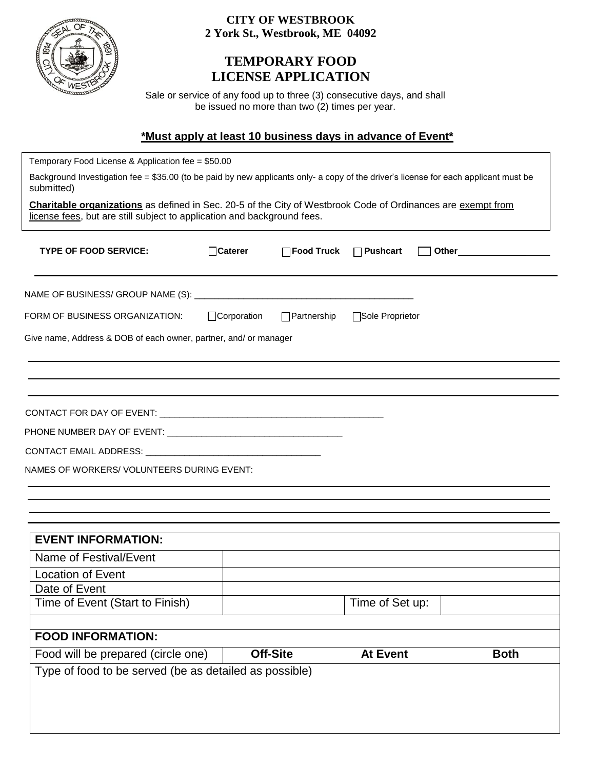

## **CITY OF WESTBROOK 2 York St., Westbrook, ME 04092**

## **TEMPORARY FOOD LICENSE APPLICATION**

Sale or service of any food up to three (3) consecutive days, and shall be issued no more than two (2) times per year.

## **\*Must apply at least 10 business days in advance of Event\***

| Background Investigation fee = \$35.00 (to be paid by new applicants only- a copy of the driver's license for each applicant must be<br>submitted)<br>Charitable organizations as defined in Sec. 20-5 of the City of Westbrook Code of Ordinances are exempt from<br>license fees, but are still subject to application and background fees.<br>□Caterer<br><b>TYPE OF FOOD SERVICE:</b><br>FORM OF BUSINESS ORGANIZATION:<br>□Corporation<br>Give name, Address & DOB of each owner, partner, and/ or manager | $\Box$ Food Truck<br>$\Box$ Pushcart<br>◯ Other_________________<br>$\Box$ Partnership<br>□Sole Proprietor |
|-----------------------------------------------------------------------------------------------------------------------------------------------------------------------------------------------------------------------------------------------------------------------------------------------------------------------------------------------------------------------------------------------------------------------------------------------------------------------------------------------------------------|------------------------------------------------------------------------------------------------------------|
|                                                                                                                                                                                                                                                                                                                                                                                                                                                                                                                 |                                                                                                            |
|                                                                                                                                                                                                                                                                                                                                                                                                                                                                                                                 |                                                                                                            |
|                                                                                                                                                                                                                                                                                                                                                                                                                                                                                                                 |                                                                                                            |
|                                                                                                                                                                                                                                                                                                                                                                                                                                                                                                                 |                                                                                                            |
|                                                                                                                                                                                                                                                                                                                                                                                                                                                                                                                 |                                                                                                            |
|                                                                                                                                                                                                                                                                                                                                                                                                                                                                                                                 |                                                                                                            |
|                                                                                                                                                                                                                                                                                                                                                                                                                                                                                                                 |                                                                                                            |
|                                                                                                                                                                                                                                                                                                                                                                                                                                                                                                                 |                                                                                                            |
|                                                                                                                                                                                                                                                                                                                                                                                                                                                                                                                 |                                                                                                            |
|                                                                                                                                                                                                                                                                                                                                                                                                                                                                                                                 |                                                                                                            |
| NAMES OF WORKERS/ VOLUNTEERS DURING EVENT:                                                                                                                                                                                                                                                                                                                                                                                                                                                                      |                                                                                                            |
|                                                                                                                                                                                                                                                                                                                                                                                                                                                                                                                 |                                                                                                            |
| <b>EVENT INFORMATION:</b>                                                                                                                                                                                                                                                                                                                                                                                                                                                                                       |                                                                                                            |
| Name of Festival/Event                                                                                                                                                                                                                                                                                                                                                                                                                                                                                          |                                                                                                            |
| <b>Location of Event</b>                                                                                                                                                                                                                                                                                                                                                                                                                                                                                        |                                                                                                            |
| Date of Event                                                                                                                                                                                                                                                                                                                                                                                                                                                                                                   |                                                                                                            |
| Time of Event (Start to Finish)                                                                                                                                                                                                                                                                                                                                                                                                                                                                                 | Time of Set up:                                                                                            |
| <b>FOOD INFORMATION:</b>                                                                                                                                                                                                                                                                                                                                                                                                                                                                                        |                                                                                                            |
| <b>Off-Site</b><br>Food will be prepared (circle one)                                                                                                                                                                                                                                                                                                                                                                                                                                                           | <b>At Event</b><br><b>Both</b>                                                                             |
| Type of food to be served (be as detailed as possible)                                                                                                                                                                                                                                                                                                                                                                                                                                                          |                                                                                                            |
|                                                                                                                                                                                                                                                                                                                                                                                                                                                                                                                 |                                                                                                            |